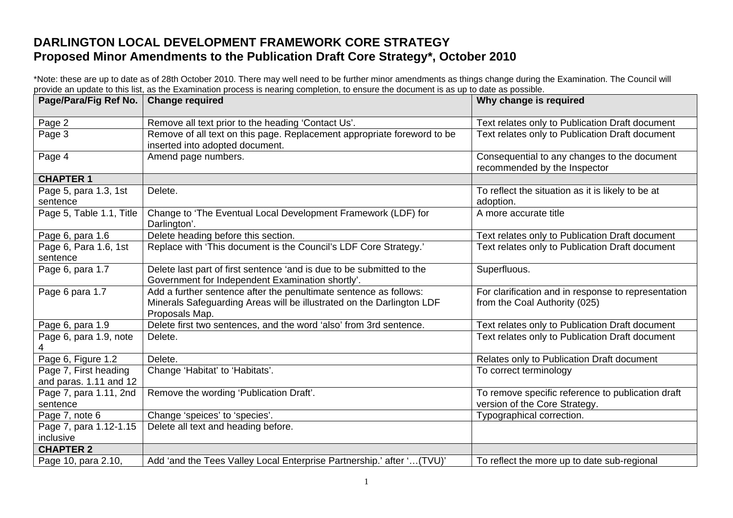## **DARLINGTON LOCAL DEVELOPMENT FRAMEWORK CORE STRATEGY Proposed Minor Amendments to the Publication Draft Core Strategy\*, October 2010**

\*Note: these are up to date as of 28th October 2010. There may well need to be further minor amendments as things change during the Examination. The Council will provide an update to this list, as the Examination process is nearing completion, to ensure the document is as up to date as possible.

| Page/Para/Fig Ref No.                           | <b>Change required</b>                                                                                                                                       | Why change is required                                                               |
|-------------------------------------------------|--------------------------------------------------------------------------------------------------------------------------------------------------------------|--------------------------------------------------------------------------------------|
| Page 2                                          | Remove all text prior to the heading 'Contact Us'.                                                                                                           | Text relates only to Publication Draft document                                      |
| Page 3                                          | Remove of all text on this page. Replacement appropriate foreword to be<br>inserted into adopted document.                                                   | Text relates only to Publication Draft document                                      |
| Page 4                                          | Amend page numbers.                                                                                                                                          | Consequential to any changes to the document<br>recommended by the Inspector         |
| <b>CHAPTER 1</b>                                |                                                                                                                                                              |                                                                                      |
| Page 5, para 1.3, 1st<br>sentence               | Delete.                                                                                                                                                      | To reflect the situation as it is likely to be at<br>adoption.                       |
| Page 5, Table 1.1, Title                        | Change to 'The Eventual Local Development Framework (LDF) for<br>Darlington'.                                                                                | A more accurate title                                                                |
| Page 6, para 1.6                                | Delete heading before this section.                                                                                                                          | Text relates only to Publication Draft document                                      |
| Page 6, Para 1.6, 1st<br>sentence               | Replace with 'This document is the Council's LDF Core Strategy.'                                                                                             | Text relates only to Publication Draft document                                      |
| Page 6, para 1.7                                | Delete last part of first sentence 'and is due to be submitted to the<br>Government for Independent Examination shortly'.                                    | Superfluous.                                                                         |
| Page 6 para 1.7                                 | Add a further sentence after the penultimate sentence as follows:<br>Minerals Safeguarding Areas will be illustrated on the Darlington LDF<br>Proposals Map. | For clarification and in response to representation<br>from the Coal Authority (025) |
| Page 6, para 1.9                                | Delete first two sentences, and the word 'also' from 3rd sentence.                                                                                           | Text relates only to Publication Draft document                                      |
| Page 6, para 1.9, note                          | Delete.                                                                                                                                                      | Text relates only to Publication Draft document                                      |
| Page 6, Figure 1.2                              | Delete.                                                                                                                                                      | Relates only to Publication Draft document                                           |
| Page 7, First heading<br>and paras. 1.11 and 12 | Change 'Habitat' to 'Habitats'.                                                                                                                              | To correct terminology                                                               |
| Page 7, para 1.11, 2nd<br>sentence              | Remove the wording 'Publication Draft'.                                                                                                                      | To remove specific reference to publication draft<br>version of the Core Strategy.   |
| Page 7, note 6                                  | Change 'speices' to 'species'.                                                                                                                               | Typographical correction.                                                            |
| Page 7, para 1.12-1.15<br>inclusive             | Delete all text and heading before.                                                                                                                          |                                                                                      |
| <b>CHAPTER 2</b>                                |                                                                                                                                                              |                                                                                      |
| Page 10, para 2.10,                             | Add 'and the Tees Valley Local Enterprise Partnership.' after ' (TVU)'                                                                                       | To reflect the more up to date sub-regional                                          |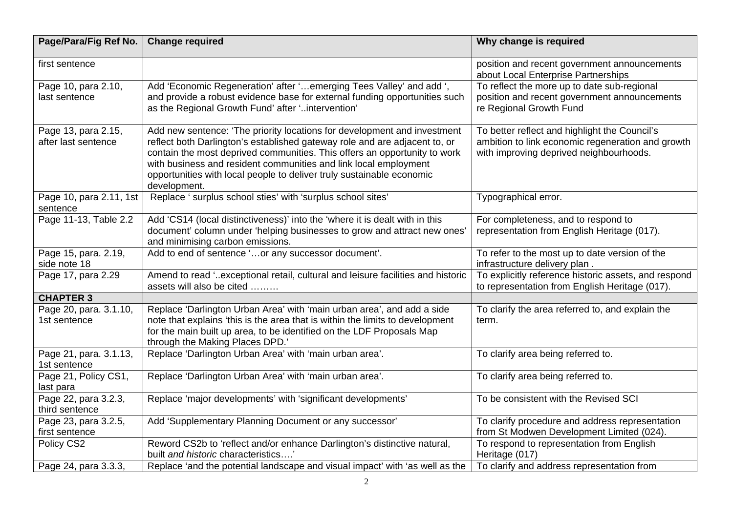| Page/Para/Fig Ref No.                      | <b>Change required</b>                                                                                                                                                                                                                                                                                                                                                                           | Why change is required                                                                                                                        |
|--------------------------------------------|--------------------------------------------------------------------------------------------------------------------------------------------------------------------------------------------------------------------------------------------------------------------------------------------------------------------------------------------------------------------------------------------------|-----------------------------------------------------------------------------------------------------------------------------------------------|
| first sentence                             |                                                                                                                                                                                                                                                                                                                                                                                                  | position and recent government announcements<br>about Local Enterprise Partnerships                                                           |
| Page 10, para 2.10,<br>last sentence       | Add 'Economic Regeneration' after ' emerging Tees Valley' and add ',<br>and provide a robust evidence base for external funding opportunities such<br>as the Regional Growth Fund' after 'intervention'                                                                                                                                                                                          | To reflect the more up to date sub-regional<br>position and recent government announcements<br>re Regional Growth Fund                        |
| Page 13, para 2.15,<br>after last sentence | Add new sentence: 'The priority locations for development and investment<br>reflect both Darlington's established gateway role and are adjacent to, or<br>contain the most deprived communities. This offers an opportunity to work<br>with business and resident communities and link local employment<br>opportunities with local people to deliver truly sustainable economic<br>development. | To better reflect and highlight the Council's<br>ambition to link economic regeneration and growth<br>with improving deprived neighbourhoods. |
| Page 10, para 2.11, 1st<br>sentence        | Replace ' surplus school sties' with 'surplus school sites'                                                                                                                                                                                                                                                                                                                                      | Typographical error.                                                                                                                          |
| Page 11-13, Table 2.2                      | Add 'CS14 (local distinctiveness)' into the 'where it is dealt with in this<br>document' column under 'helping businesses to grow and attract new ones'<br>and minimising carbon emissions.                                                                                                                                                                                                      | For completeness, and to respond to<br>representation from English Heritage (017).                                                            |
| Page 15, para. 2.19,<br>side note 18       | Add to end of sentence 'or any successor document'.                                                                                                                                                                                                                                                                                                                                              | To refer to the most up to date version of the<br>infrastructure delivery plan.                                                               |
| Page 17, para 2.29                         | Amend to read 'exceptional retail, cultural and leisure facilities and historic<br>assets will also be cited                                                                                                                                                                                                                                                                                     | To explicitly reference historic assets, and respond<br>to representation from English Heritage (017).                                        |
| <b>CHAPTER 3</b>                           |                                                                                                                                                                                                                                                                                                                                                                                                  |                                                                                                                                               |
| Page 20, para. 3.1.10,<br>1st sentence     | Replace 'Darlington Urban Area' with 'main urban area', and add a side<br>note that explains 'this is the area that is within the limits to development<br>for the main built up area, to be identified on the LDF Proposals Map<br>through the Making Places DPD.'                                                                                                                              | To clarify the area referred to, and explain the<br>term.                                                                                     |
| Page 21, para. 3.1.13,<br>1st sentence     | Replace 'Darlington Urban Area' with 'main urban area'.                                                                                                                                                                                                                                                                                                                                          | To clarify area being referred to.                                                                                                            |
| Page 21, Policy CS1,<br>last para          | Replace 'Darlington Urban Area' with 'main urban area'.                                                                                                                                                                                                                                                                                                                                          | To clarify area being referred to.                                                                                                            |
| Page 22, para 3.2.3,<br>third sentence     | Replace 'major developments' with 'significant developments'                                                                                                                                                                                                                                                                                                                                     | To be consistent with the Revised SCI                                                                                                         |
| Page 23, para 3.2.5,<br>first sentence     | Add 'Supplementary Planning Document or any successor'                                                                                                                                                                                                                                                                                                                                           | To clarify procedure and address representation<br>from St Modwen Development Limited (024).                                                  |
| Policy CS2                                 | Reword CS2b to 'reflect and/or enhance Darlington's distinctive natural,<br>built and historic characteristics                                                                                                                                                                                                                                                                                   | To respond to representation from English<br>Heritage (017)                                                                                   |
| Page 24, para 3.3.3,                       | Replace 'and the potential landscape and visual impact' with 'as well as the                                                                                                                                                                                                                                                                                                                     | To clarify and address representation from                                                                                                    |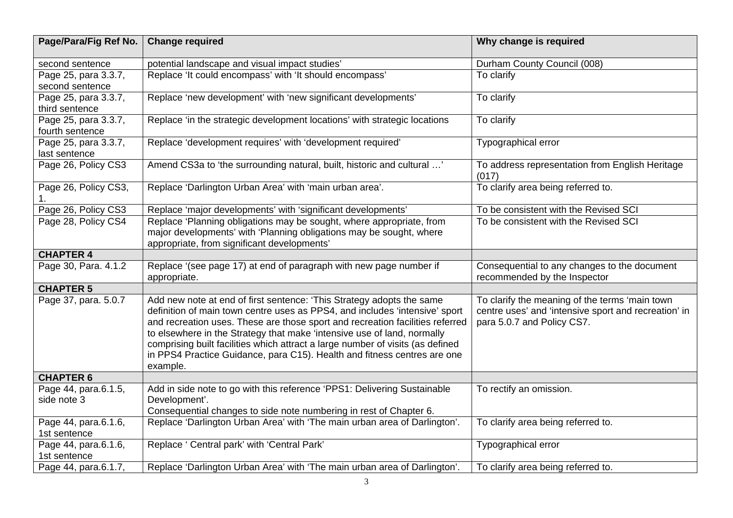| Page/Para/Fig Ref No.                   | <b>Change required</b>                                                                                                                                                                                                                                                                                                                                                                                                                                                                     | Why change is required                                                                                                               |
|-----------------------------------------|--------------------------------------------------------------------------------------------------------------------------------------------------------------------------------------------------------------------------------------------------------------------------------------------------------------------------------------------------------------------------------------------------------------------------------------------------------------------------------------------|--------------------------------------------------------------------------------------------------------------------------------------|
| second sentence                         | potential landscape and visual impact studies'                                                                                                                                                                                                                                                                                                                                                                                                                                             | Durham County Council (008)                                                                                                          |
| Page 25, para 3.3.7,<br>second sentence | Replace 'It could encompass' with 'It should encompass'                                                                                                                                                                                                                                                                                                                                                                                                                                    | To clarify                                                                                                                           |
| Page 25, para 3.3.7,<br>third sentence  | Replace 'new development' with 'new significant developments'                                                                                                                                                                                                                                                                                                                                                                                                                              | To clarify                                                                                                                           |
| Page 25, para 3.3.7,<br>fourth sentence | Replace 'in the strategic development locations' with strategic locations                                                                                                                                                                                                                                                                                                                                                                                                                  | To clarify                                                                                                                           |
| Page 25, para 3.3.7,<br>last sentence   | Replace 'development requires' with 'development required'                                                                                                                                                                                                                                                                                                                                                                                                                                 | Typographical error                                                                                                                  |
| Page 26, Policy CS3                     | Amend CS3a to 'the surrounding natural, built, historic and cultural '                                                                                                                                                                                                                                                                                                                                                                                                                     | To address representation from English Heritage<br>(017)                                                                             |
| Page 26, Policy CS3,<br>1.              | Replace 'Darlington Urban Area' with 'main urban area'.                                                                                                                                                                                                                                                                                                                                                                                                                                    | To clarify area being referred to.                                                                                                   |
| Page 26, Policy CS3                     | Replace 'major developments' with 'significant developments'                                                                                                                                                                                                                                                                                                                                                                                                                               | To be consistent with the Revised SCI                                                                                                |
| Page 28, Policy CS4                     | Replace 'Planning obligations may be sought, where appropriate, from<br>major developments' with 'Planning obligations may be sought, where<br>appropriate, from significant developments'                                                                                                                                                                                                                                                                                                 | To be consistent with the Revised SCI                                                                                                |
| <b>CHAPTER 4</b>                        |                                                                                                                                                                                                                                                                                                                                                                                                                                                                                            |                                                                                                                                      |
| Page 30, Para. 4.1.2                    | Replace '(see page 17) at end of paragraph with new page number if<br>appropriate.                                                                                                                                                                                                                                                                                                                                                                                                         | Consequential to any changes to the document<br>recommended by the Inspector                                                         |
| <b>CHAPTER 5</b>                        |                                                                                                                                                                                                                                                                                                                                                                                                                                                                                            |                                                                                                                                      |
| Page 37, para. 5.0.7                    | Add new note at end of first sentence: 'This Strategy adopts the same<br>definition of main town centre uses as PPS4, and includes 'intensive' sport<br>and recreation uses. These are those sport and recreation facilities referred<br>to elsewhere in the Strategy that make 'intensive use of land, normally<br>comprising built facilities which attract a large number of visits (as defined<br>in PPS4 Practice Guidance, para C15). Health and fitness centres are one<br>example. | To clarify the meaning of the terms 'main town<br>centre uses' and 'intensive sport and recreation' in<br>para 5.0.7 and Policy CS7. |
| <b>CHAPTER 6</b>                        |                                                                                                                                                                                                                                                                                                                                                                                                                                                                                            |                                                                                                                                      |
| Page 44, para.6.1.5,<br>side note 3     | Add in side note to go with this reference 'PPS1: Delivering Sustainable<br>Development'.<br>Consequential changes to side note numbering in rest of Chapter 6.                                                                                                                                                                                                                                                                                                                            | To rectify an omission.                                                                                                              |
| Page 44, para.6.1.6,<br>1st sentence    | Replace 'Darlington Urban Area' with 'The main urban area of Darlington'.                                                                                                                                                                                                                                                                                                                                                                                                                  | To clarify area being referred to.                                                                                                   |
| Page 44, para.6.1.6,<br>1st sentence    | Replace ' Central park' with 'Central Park'                                                                                                                                                                                                                                                                                                                                                                                                                                                | Typographical error                                                                                                                  |
| Page 44, para.6.1.7,                    | Replace 'Darlington Urban Area' with 'The main urban area of Darlington'.                                                                                                                                                                                                                                                                                                                                                                                                                  | To clarify area being referred to.                                                                                                   |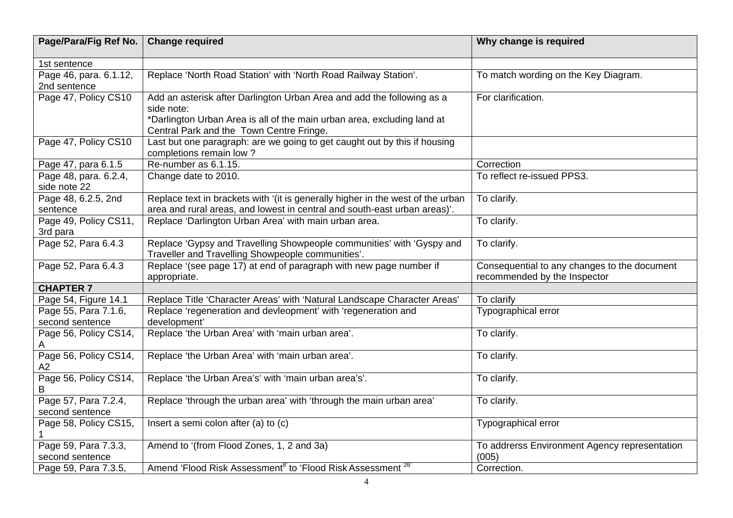| Page/Para/Fig Ref No.                   | <b>Change required</b>                                                                                                                                                                                      | Why change is required                                                       |
|-----------------------------------------|-------------------------------------------------------------------------------------------------------------------------------------------------------------------------------------------------------------|------------------------------------------------------------------------------|
| 1st sentence                            |                                                                                                                                                                                                             |                                                                              |
| Page 46, para. 6.1.12,<br>2nd sentence  | Replace 'North Road Station' with 'North Road Railway Station'.                                                                                                                                             | To match wording on the Key Diagram.                                         |
| Page 47, Policy CS10                    | Add an asterisk after Darlington Urban Area and add the following as a<br>side note:<br>*Darlington Urban Area is all of the main urban area, excluding land at<br>Central Park and the Town Centre Fringe. | For clarification.                                                           |
| Page 47, Policy CS10                    | Last but one paragraph: are we going to get caught out by this if housing<br>completions remain low?                                                                                                        |                                                                              |
| Page 47, para 6.1.5                     | Re-number as 6.1.15.                                                                                                                                                                                        | Correction                                                                   |
| Page 48, para. 6.2.4,<br>side note 22   | Change date to 2010.                                                                                                                                                                                        | To reflect re-issued PPS3.                                                   |
| Page 48, 6.2.5, 2nd<br>sentence         | Replace text in brackets with '(it is generally higher in the west of the urban<br>area and rural areas, and lowest in central and south-east urban areas)'.                                                | To clarify.                                                                  |
| Page 49, Policy CS11,<br>3rd para       | Replace 'Darlington Urban Area' with main urban area.                                                                                                                                                       | To clarify.                                                                  |
| Page 52, Para 6.4.3                     | Replace 'Gypsy and Travelling Showpeople communities' with 'Gyspy and<br>Traveller and Travelling Showpeople communities'.                                                                                  | To clarify.                                                                  |
| Page 52, Para 6.4.3                     | Replace '(see page 17) at end of paragraph with new page number if<br>appropriate.                                                                                                                          | Consequential to any changes to the document<br>recommended by the Inspector |
| <b>CHAPTER 7</b>                        |                                                                                                                                                                                                             |                                                                              |
| Page 54, Figure 14.1                    | Replace Title 'Character Areas' with 'Natural Landscape Character Areas'                                                                                                                                    | To clarify                                                                   |
| Page 55, Para 7.1.6,<br>second sentence | Replace 'regeneration and devleopment' with 'regeneration and<br>development'                                                                                                                               | Typographical error                                                          |
| Page 56, Policy CS14,                   | Replace 'the Urban Area' with 'main urban area'.                                                                                                                                                            | To clarify.                                                                  |
| Page 56, Policy CS14,<br>A2             | Replace 'the Urban Area' with 'main urban area'.                                                                                                                                                            | To clarify.                                                                  |
| Page 56, Policy CS14,<br>в              | Replace 'the Urban Area's' with 'main urban area's'.                                                                                                                                                        | To clarify.                                                                  |
| Page 57, Para 7.2.4,<br>second sentence | Replace 'through the urban area' with 'through the main urban area'                                                                                                                                         | To clarify.                                                                  |
| Page 58, Policy CS15,                   | Insert a semi colon after (a) to (c)                                                                                                                                                                        | Typographical error                                                          |
| Page 59, Para 7.3.3,<br>second sentence | Amend to '(from Flood Zones, 1, 2 and 3a)                                                                                                                                                                   | To addrerss Environment Agency representation<br>(005)                       |
| Page 59, Para 7.3.5,                    | Amend 'Flood Risk Assessment <sup>8'</sup> to 'Flood Risk Assessment <sup>26'</sup>                                                                                                                         | Correction.                                                                  |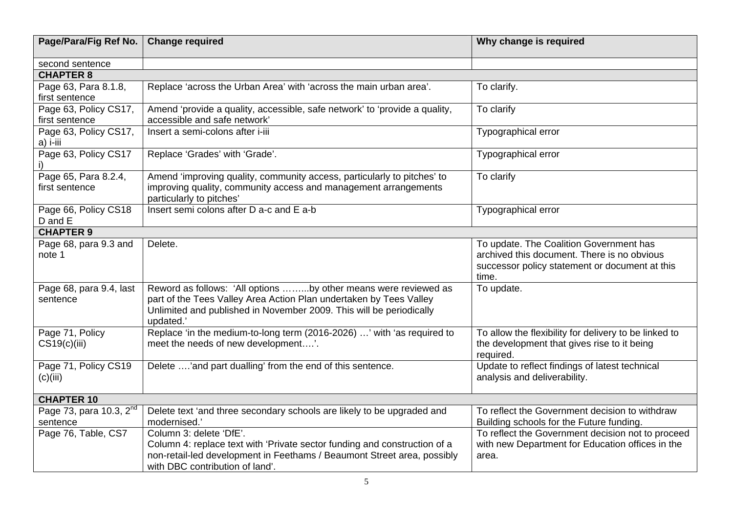| Page/Para/Fig Ref No.                           | <b>Change required</b>                                                                                                                                                                                                    | Why change is required                                                                                                                            |
|-------------------------------------------------|---------------------------------------------------------------------------------------------------------------------------------------------------------------------------------------------------------------------------|---------------------------------------------------------------------------------------------------------------------------------------------------|
| second sentence                                 |                                                                                                                                                                                                                           |                                                                                                                                                   |
| <b>CHAPTER 8</b>                                |                                                                                                                                                                                                                           |                                                                                                                                                   |
| Page 63, Para 8.1.8,                            | Replace 'across the Urban Area' with 'across the main urban area'.                                                                                                                                                        | To clarify.                                                                                                                                       |
| first sentence                                  |                                                                                                                                                                                                                           |                                                                                                                                                   |
| Page 63, Policy CS17,                           | Amend 'provide a quality, accessible, safe network' to 'provide a quality,                                                                                                                                                | To clarify                                                                                                                                        |
| first sentence                                  | accessible and safe network'                                                                                                                                                                                              |                                                                                                                                                   |
| Page 63, Policy CS17,<br>a) i-iii               | Insert a semi-colons after i-iii                                                                                                                                                                                          | Typographical error                                                                                                                               |
| Page 63, Policy CS17                            | Replace 'Grades' with 'Grade'.                                                                                                                                                                                            | Typographical error                                                                                                                               |
| Page 65, Para 8.2.4,<br>first sentence          | Amend 'improving quality, community access, particularly to pitches' to<br>improving quality, community access and management arrangements<br>particularly to pitches'                                                    | To clarify                                                                                                                                        |
| Page 66, Policy CS18<br>D and E                 | Insert semi colons after D a-c and E a-b                                                                                                                                                                                  | Typographical error                                                                                                                               |
| <b>CHAPTER 9</b>                                |                                                                                                                                                                                                                           |                                                                                                                                                   |
| Page 68, para 9.3 and<br>note 1                 | Delete.                                                                                                                                                                                                                   | To update. The Coalition Government has<br>archived this document. There is no obvious<br>successor policy statement or document at this<br>time. |
| Page 68, para 9.4, last<br>sentence             | Reword as follows: 'All options by other means were reviewed as<br>part of the Tees Valley Area Action Plan undertaken by Tees Valley<br>Unlimited and published in November 2009. This will be periodically<br>updated.' | To update.                                                                                                                                        |
| Page 71, Policy<br>CS19(c)(iii)                 | Replace 'in the medium-to-long term (2016-2026) ' with 'as required to<br>meet the needs of new development'.                                                                                                             | To allow the flexibility for delivery to be linked to<br>the development that gives rise to it being<br>required.                                 |
| Page 71, Policy CS19<br>(c)(iii)                | Delete 'and part dualling' from the end of this sentence.                                                                                                                                                                 | Update to reflect findings of latest technical<br>analysis and deliverability.                                                                    |
| <b>CHAPTER 10</b>                               |                                                                                                                                                                                                                           |                                                                                                                                                   |
| Page 73, para 10.3, 2 <sup>nd</sup><br>sentence | Delete text 'and three secondary schools are likely to be upgraded and<br>modernised.'                                                                                                                                    | To reflect the Government decision to withdraw<br>Building schools for the Future funding.                                                        |
| Page 76, Table, CS7                             | Column 3: delete 'DfE'.                                                                                                                                                                                                   | To reflect the Government decision not to proceed                                                                                                 |
|                                                 | Column 4: replace text with 'Private sector funding and construction of a<br>non-retail-led development in Feethams / Beaumont Street area, possibly<br>with DBC contribution of land'.                                   | with new Department for Education offices in the<br>area.                                                                                         |